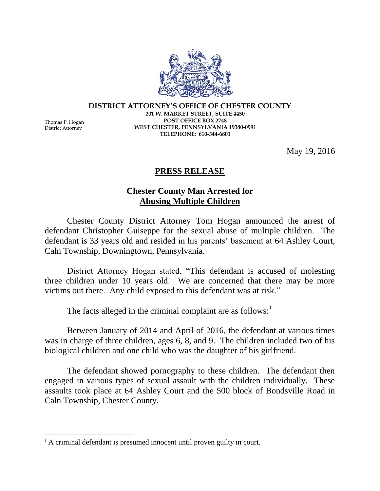**DISTRICT ATTORNEY'S OFFICE OF CHESTER COUNTY 201 W. MARKET STREET, SUITE 4450 POST OFFICE BOX 2748 WEST CHESTER, PENNSYLVANIA 19380-0991 TELEPHONE: 610-344-6801**

May 19, 2016

## **PRESS RELEASE**

## **Chester County Man Arrested for Abusing Multiple Children**

Chester County District Attorney Tom Hogan announced the arrest of defendant Christopher Guiseppe for the sexual abuse of multiple children. The defendant is 33 years old and resided in his parents' basement at 64 Ashley Court, Caln Township, Downingtown, Pennsylvania.

District Attorney Hogan stated, "This defendant is accused of molesting three children under 10 years old. We are concerned that there may be more victims out there. Any child exposed to this defendant was at risk."

The facts alleged in the criminal complaint are as follows:<sup>1</sup>

Between January of 2014 and April of 2016, the defendant at various times was in charge of three children, ages 6, 8, and 9. The children included two of his biological children and one child who was the daughter of his girlfriend.

The defendant showed pornography to these children. The defendant then engaged in various types of sexual assault with the children individually. These assaults took place at 64 Ashley Court and the 500 block of Bondsville Road in Caln Township, Chester County.



District Attorney

 $\overline{a}$ 

<sup>&</sup>lt;sup>1</sup> A criminal defendant is presumed innocent until proven guilty in court.